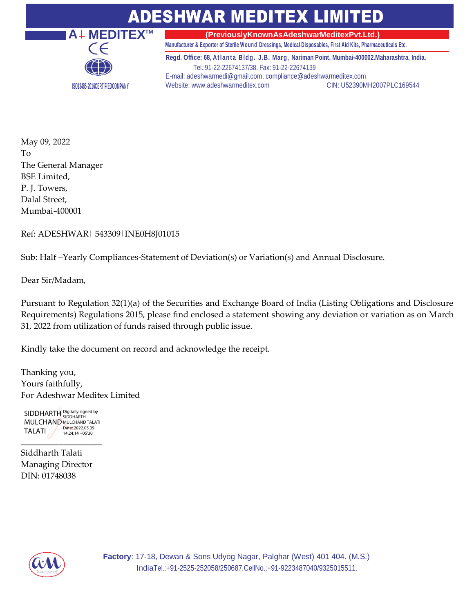## ADESHWAR MEDITEX LIMITED



**(PreviouslyKnownAsAdeshwarMeditexPvt.Ltd.)**

**Manufacturer & Exporter of Sterile Wound Dressings, Medical Disposables, First Aid Kits, Pharmaceuticals Etc.**

**Regd. Office: 68, At lant a Bldg. J.B. Marg, Nariman Point, Mumbai-400002.Maharashtra, India.** Tel.:91-22-22674137/38. Fax: 91-22-22674139 E-mail[: adeshwarmedi@gmail.com, compliance@adeshwarmeditex.com](mailto:adeshwarmedi@gmail.com) Website: [www.adeshwarmeditex.com](http://www.adeshwarmeditex.com/) CIN: U52390MH2007PLC169544

May 09, 2022 To The General Manager BSE Limited, P. J. Towers, Dalal Street, Mumbai-400001

Ref: ADESHWAR| 543309|INE0H8J01015

Sub: Half –Yearly Compliances-Statement of Deviation(s) or Variation(s) and Annual Disclosure.

Dear Sir/Madam,

Pursuant to Regulation 32(1)(a) of the Securities and Exchange Board of India (Listing Obligations and Disclosure Requirements) Regulations 2015, please find enclosed a statement showing any deviation or variation as on March 31, 2022 from utilization of funds raised through public issue.

Kindly take the document on record and acknowledge the receipt.

Thanking you, Yours faithfully, For Adeshwar Meditex Limited

SIDDHARTH Digitally signed by **MULCHAND MULCHAND TALATI** TALATI Date: 2022.05.09 14:24:14 +05'30'

\_\_\_\_\_\_\_\_\_\_\_\_\_\_\_\_\_\_\_

Siddharth Talati Managing Director DIN: 01748038